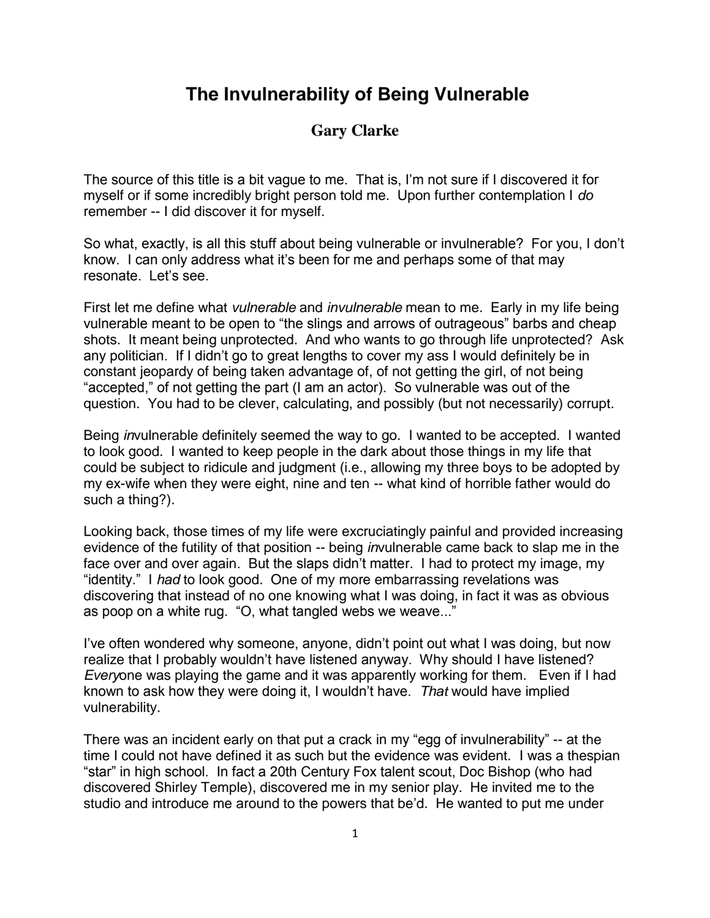## **The Invulnerability of Being Vulnerable**

## **Gary Clarke**

The source of this title is a bit vague to me. That is, I'm not sure if I discovered it for myself or if some incredibly bright person told me. Upon further contemplation I *do*  remember -- I did discover it for myself.

So what, exactly, is all this stuff about being vulnerable or invulnerable? For you, I don't know. I can only address what it's been for me and perhaps some of that may resonate. Let's see.

First let me define what *vulnerable* and *invulnerable* mean to me. Early in my life being vulnerable meant to be open to "the slings and arrows of outrageous" barbs and cheap shots. It meant being unprotected. And who wants to go through life unprotected? Ask any politician. If I didn't go to great lengths to cover my ass I would definitely be in constant jeopardy of being taken advantage of, of not getting the girl, of not being "accepted," of not getting the part (I am an actor). So vulnerable was out of the question. You had to be clever, calculating, and possibly (but not necessarily) corrupt.

Being *in*vulnerable definitely seemed the way to go. I wanted to be accepted. I wanted to look good. I wanted to keep people in the dark about those things in my life that could be subject to ridicule and judgment (i.e., allowing my three boys to be adopted by my ex-wife when they were eight, nine and ten -- what kind of horrible father would do such a thing?).

Looking back, those times of my life were excruciatingly painful and provided increasing evidence of the futility of that position -- being *in*vulnerable came back to slap me in the face over and over again. But the slaps didn't matter. I had to protect my image, my "identity." I *had* to look good. One of my more embarrassing revelations was discovering that instead of no one knowing what I was doing, in fact it was as obvious as poop on a white rug. "O, what tangled webs we weave..."

I've often wondered why someone, anyone, didn't point out what I was doing, but now realize that I probably wouldn't have listened anyway. Why should I have listened? *Every*one was playing the game and it was apparently working for them. Even if I had known to ask how they were doing it, I wouldn't have. *That* would have implied vulnerability.

There was an incident early on that put a crack in my "egg of invulnerability" -- at the time I could not have defined it as such but the evidence was evident. I was a thespian "star" in high school. In fact a 20th Century Fox talent scout, Doc Bishop (who had discovered Shirley Temple), discovered me in my senior play. He invited me to the studio and introduce me around to the powers that be'd. He wanted to put me under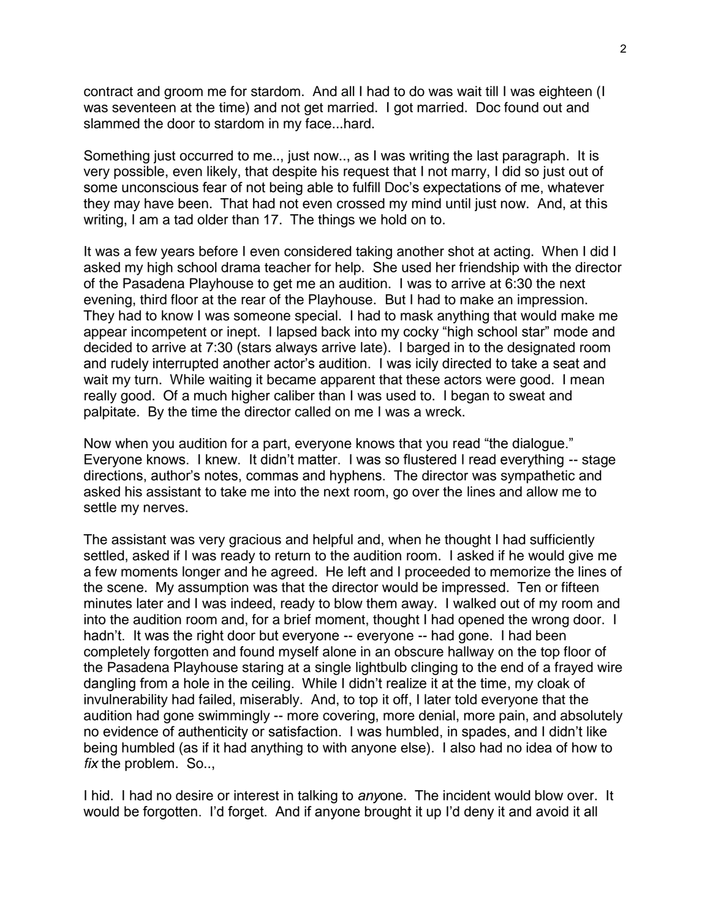contract and groom me for stardom. And all I had to do was wait till I was eighteen (I was seventeen at the time) and not get married. I got married. Doc found out and slammed the door to stardom in my face...hard.

Something just occurred to me.., just now.., as I was writing the last paragraph. It is very possible, even likely, that despite his request that I not marry, I did so just out of some unconscious fear of not being able to fulfill Doc's expectations of me, whatever they may have been. That had not even crossed my mind until just now. And, at this writing, I am a tad older than 17. The things we hold on to.

It was a few years before I even considered taking another shot at acting. When I did I asked my high school drama teacher for help. She used her friendship with the director of the Pasadena Playhouse to get me an audition. I was to arrive at 6:30 the next evening, third floor at the rear of the Playhouse. But I had to make an impression. They had to know I was someone special. I had to mask anything that would make me appear incompetent or inept. I lapsed back into my cocky "high school star" mode and decided to arrive at 7:30 (stars always arrive late). I barged in to the designated room and rudely interrupted another actor's audition. I was icily directed to take a seat and wait my turn. While waiting it became apparent that these actors were good. I mean really good. Of a much higher caliber than I was used to. I began to sweat and palpitate. By the time the director called on me I was a wreck.

Now when you audition for a part, everyone knows that you read "the dialogue." Everyone knows. I knew. It didn't matter. I was so flustered I read everything -- stage directions, author's notes, commas and hyphens. The director was sympathetic and asked his assistant to take me into the next room, go over the lines and allow me to settle my nerves.

The assistant was very gracious and helpful and, when he thought I had sufficiently settled, asked if I was ready to return to the audition room. I asked if he would give me a few moments longer and he agreed. He left and I proceeded to memorize the lines of the scene. My assumption was that the director would be impressed. Ten or fifteen minutes later and I was indeed, ready to blow them away. I walked out of my room and into the audition room and, for a brief moment, thought I had opened the wrong door. I hadn't. It was the right door but everyone -- everyone -- had gone. I had been completely forgotten and found myself alone in an obscure hallway on the top floor of the Pasadena Playhouse staring at a single lightbulb clinging to the end of a frayed wire dangling from a hole in the ceiling. While I didn't realize it at the time, my cloak of invulnerability had failed, miserably. And, to top it off, I later told everyone that the audition had gone swimmingly -- more covering, more denial, more pain, and absolutely no evidence of authenticity or satisfaction. I was humbled, in spades, and I didn't like being humbled (as if it had anything to with anyone else). I also had no idea of how to *fix* the problem. So..,

I hid. I had no desire or interest in talking to *any*one. The incident would blow over. It would be forgotten. I'd forget. And if anyone brought it up I'd deny it and avoid it all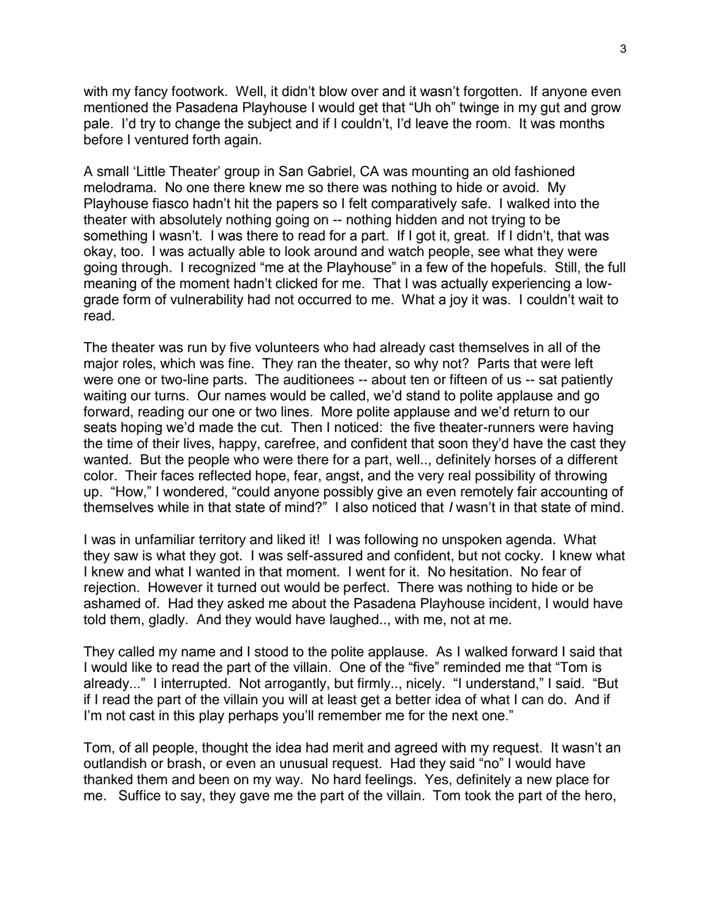with my fancy footwork. Well, it didn't blow over and it wasn't forgotten. If anyone even mentioned the Pasadena Playhouse I would get that "Uh oh" twinge in my gut and grow pale. I'd try to change the subject and if I couldn't, I'd leave the room. It was months before I ventured forth again.

A small 'Little Theater' group in San Gabriel, CA was mounting an old fashioned melodrama. No one there knew me so there was nothing to hide or avoid. My Playhouse fiasco hadn't hit the papers so I felt comparatively safe. I walked into the theater with absolutely nothing going on -- nothing hidden and not trying to be something I wasn't. I was there to read for a part. If I got it, great. If I didn't, that was okay, too. I was actually able to look around and watch people, see what they were going through. I recognized "me at the Playhouse" in a few of the hopefuls. Still, the full meaning of the moment hadn't clicked for me. That I was actually experiencing a lowgrade form of vulnerability had not occurred to me. What a joy it was. I couldn't wait to read.

The theater was run by five volunteers who had already cast themselves in all of the major roles, which was fine. They ran the theater, so why not? Parts that were left were one or two-line parts. The auditionees -- about ten or fifteen of us -- sat patiently waiting our turns. Our names would be called, we'd stand to polite applause and go forward, reading our one or two lines. More polite applause and we'd return to our seats hoping we'd made the cut. Then I noticed: the five theater-runners were having the time of their lives, happy, carefree, and confident that soon they'd have the cast they wanted. But the people who were there for a part, well.., definitely horses of a different color. Their faces reflected hope, fear, angst, and the very real possibility of throwing up. "How," I wondered, "could anyone possibly give an even remotely fair accounting of themselves while in that state of mind?" I also noticed that *I* wasn't in that state of mind.

I was in unfamiliar territory and liked it! I was following no unspoken agenda. What they saw is what they got. I was self-assured and confident, but not cocky. I knew what I knew and what I wanted in that moment. I went for it. No hesitation. No fear of rejection. However it turned out would be perfect. There was nothing to hide or be ashamed of. Had they asked me about the Pasadena Playhouse incident, I would have told them, gladly. And they would have laughed.., with me, not at me.

They called my name and I stood to the polite applause. As I walked forward I said that I would like to read the part of the villain. One of the "five" reminded me that "Tom is already..." I interrupted. Not arrogantly, but firmly.., nicely. "I understand," I said. "But if I read the part of the villain you will at least get a better idea of what I can do. And if I'm not cast in this play perhaps you'll remember me for the next one."

Tom, of all people, thought the idea had merit and agreed with my request. It wasn't an outlandish or brash, or even an unusual request. Had they said "no" I would have thanked them and been on my way. No hard feelings. Yes, definitely a new place for me. Suffice to say, they gave me the part of the villain. Tom took the part of the hero,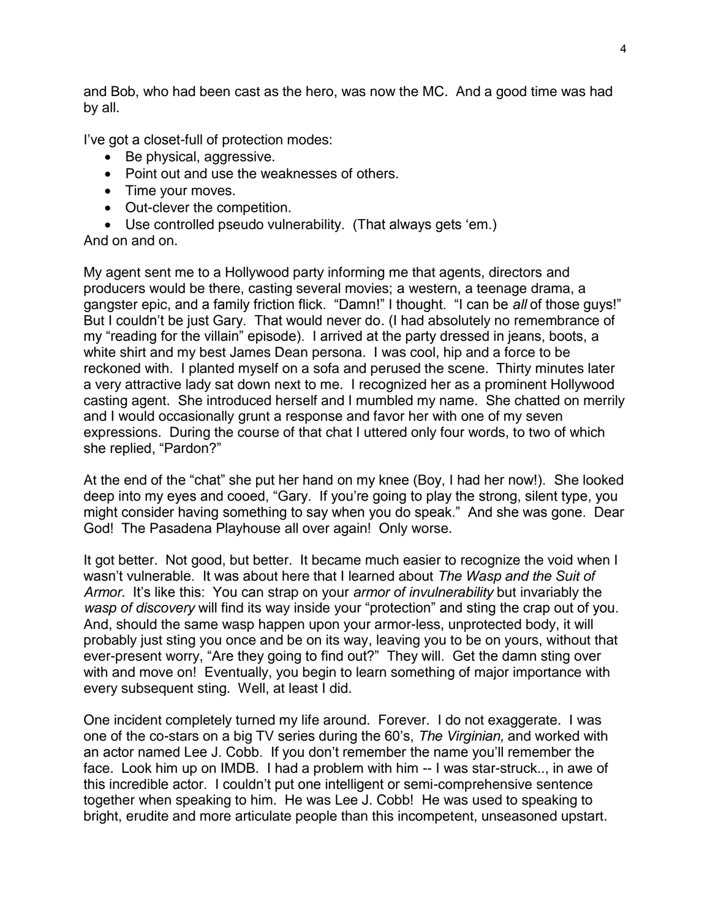and Bob, who had been cast as the hero, was now the MC. And a good time was had by all.

I've got a closet-full of protection modes:

- Be physical, aggressive.
- Point out and use the weaknesses of others.
- Time your moves.
- Out-clever the competition.
- Use controlled pseudo vulnerability. (That always gets 'em.)

## And on and on.

My agent sent me to a Hollywood party informing me that agents, directors and producers would be there, casting several movies; a western, a teenage drama, a gangster epic, and a family friction flick. "Damn!" I thought. "I can be *all* of those guys!" But I couldn't be just Gary. That would never do. (I had absolutely no remembrance of my "reading for the villain" episode). I arrived at the party dressed in jeans, boots, a white shirt and my best James Dean persona. I was cool, hip and a force to be reckoned with. I planted myself on a sofa and perused the scene. Thirty minutes later a very attractive lady sat down next to me. I recognized her as a prominent Hollywood casting agent. She introduced herself and I mumbled my name. She chatted on merrily and I would occasionally grunt a response and favor her with one of my seven expressions. During the course of that chat I uttered only four words, to two of which she replied, "Pardon?"

At the end of the "chat" she put her hand on my knee (Boy, I had her now!). She looked deep into my eyes and cooed, "Gary. If you're going to play the strong, silent type, you might consider having something to say when you do speak." And she was gone. Dear God! The Pasadena Playhouse all over again! Only worse.

It got better. Not good, but better. It became much easier to recognize the void when I wasn't vulnerable. It was about here that I learned about *The Wasp and the Suit of Armor.* It's like this: You can strap on your *armor of invulnerability* but invariably the *wasp of discovery* will find its way inside your "protection" and sting the crap out of you. And, should the same wasp happen upon your armor-less, unprotected body, it will probably just sting you once and be on its way, leaving you to be on yours, without that ever-present worry, "Are they going to find out?" They will. Get the damn sting over with and move on! Eventually, you begin to learn something of major importance with every subsequent sting. Well, at least I did.

One incident completely turned my life around. Forever. I do not exaggerate. I was one of the co-stars on a big TV series during the 60's, *The Virginian,* and worked with an actor named Lee J. Cobb. If you don't remember the name you'll remember the face. Look him up on IMDB. I had a problem with him -- I was star-struck.., in awe of this incredible actor. I couldn't put one intelligent or semi-comprehensive sentence together when speaking to him. He was Lee J. Cobb! He was used to speaking to bright, erudite and more articulate people than this incompetent, unseasoned upstart.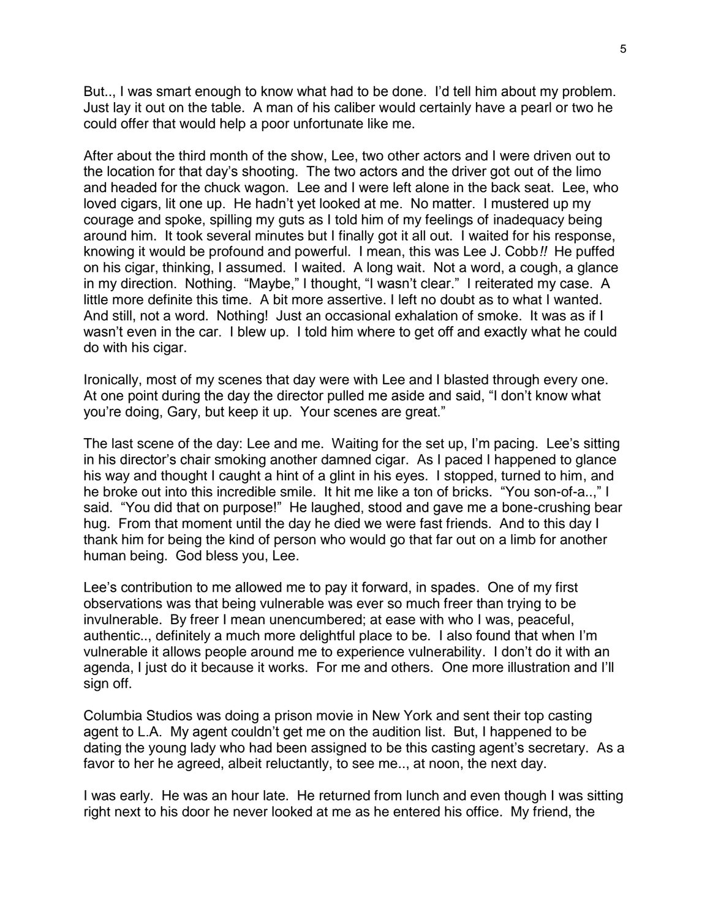But.., I was smart enough to know what had to be done. I'd tell him about my problem. Just lay it out on the table. A man of his caliber would certainly have a pearl or two he could offer that would help a poor unfortunate like me.

After about the third month of the show, Lee, two other actors and I were driven out to the location for that day's shooting. The two actors and the driver got out of the limo and headed for the chuck wagon. Lee and I were left alone in the back seat. Lee, who loved cigars, lit one up. He hadn't yet looked at me. No matter. I mustered up my courage and spoke, spilling my guts as I told him of my feelings of inadequacy being around him. It took several minutes but I finally got it all out. I waited for his response, knowing it would be profound and powerful. I mean, this was Lee J. Cobb*!!* He puffed on his cigar, thinking, I assumed. I waited. A long wait. Not a word, a cough, a glance in my direction. Nothing. "Maybe," I thought, "I wasn't clear." I reiterated my case. A little more definite this time. A bit more assertive. I left no doubt as to what I wanted. And still, not a word. Nothing! Just an occasional exhalation of smoke. It was as if I wasn't even in the car. I blew up. I told him where to get off and exactly what he could do with his cigar.

Ironically, most of my scenes that day were with Lee and I blasted through every one. At one point during the day the director pulled me aside and said, "I don't know what you're doing, Gary, but keep it up. Your scenes are great."

The last scene of the day: Lee and me. Waiting for the set up, I'm pacing. Lee's sitting in his director's chair smoking another damned cigar. As I paced I happened to glance his way and thought I caught a hint of a glint in his eyes. I stopped, turned to him, and he broke out into this incredible smile. It hit me like a ton of bricks. "You son-of-a..," I said. "You did that on purpose!" He laughed, stood and gave me a bone-crushing bear hug. From that moment until the day he died we were fast friends. And to this day I thank him for being the kind of person who would go that far out on a limb for another human being. God bless you, Lee.

Lee's contribution to me allowed me to pay it forward, in spades. One of my first observations was that being vulnerable was ever so much freer than trying to be invulnerable. By freer I mean unencumbered; at ease with who I was, peaceful, authentic.., definitely a much more delightful place to be. I also found that when I'm vulnerable it allows people around me to experience vulnerability. I don't do it with an agenda, I just do it because it works. For me and others. One more illustration and I'll sign off.

Columbia Studios was doing a prison movie in New York and sent their top casting agent to L.A. My agent couldn't get me on the audition list. But, I happened to be dating the young lady who had been assigned to be this casting agent's secretary. As a favor to her he agreed, albeit reluctantly, to see me.., at noon, the next day.

I was early. He was an hour late. He returned from lunch and even though I was sitting right next to his door he never looked at me as he entered his office. My friend, the